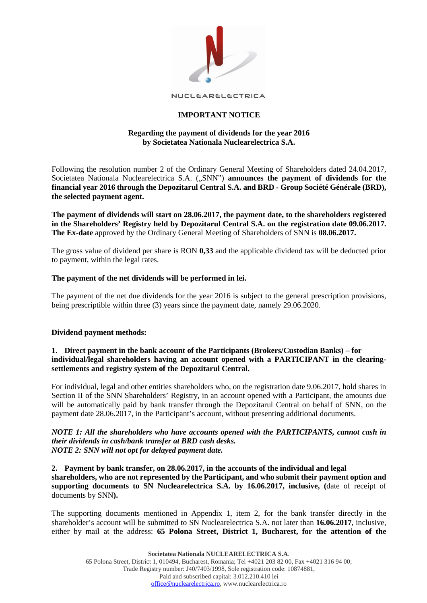

NUCLEARELECTRICA

# **IMPORTANT NOTICE**

# **Regarding the payment of dividends for the year 2016 by Societatea Nationala Nuclearelectrica S.A.**

Following the resolution number 2 of the Ordinary General Meeting of Shareholders dated 24.04.2017, Societatea Nationala Nuclearelectrica S.A. ("SNN") **announces the payment of dividends for the financial year 2016 through the Depozitarul Central S.A. and BRD - Group Société Générale (BRD), the selected payment agent.**

**The payment of dividends will start on 28.06.2017, the payment date, to the shareholders registered in the Shareholders' Registry held by Depozitarul Central S.A. on the registration date 09.06.2017. The Ex-date** approved by the Ordinary General Meeting of Shareholders of SNN is **08.06.2017.**

The gross value of dividend per share is RON **0,33** and the applicable dividend tax will be deducted prior to payment, within the legal rates.

#### **The payment of the net dividends will be performed in lei.**

The payment of the net due dividends for the year 2016 is subject to the general prescription provisions, being prescriptible within three (3) years since the payment date, namely 29.06.2020.

#### **Dividend payment methods:**

#### **1. Direct payment in the bank account of the Participants (Brokers/Custodian Banks) – for individual/legal shareholders having an account opened with a PARTICIPANT in the clearingsettlements and registry system of the Depozitarul Central.**

For individual, legal and other entities shareholders who, on the registration date 9.06.2017, hold shares in Section II of the SNN Shareholders' Registry, in an account opened with a Participant, the amounts due will be automatically paid by bank transfer through the Depozitarul Central on behalf of SNN, on the payment date 28.06.2017, in the Participant's account, without presenting additional documents.

#### *NOTE 1: All the shareholders who have accounts opened with the PARTICIPANTS, cannot cash in their dividends in cash/bank transfer at BRD cash desks. NOTE 2: SNN will not opt for delayed payment date.*

**2. Payment by bank transfer, on 28.06.2017, in the accounts of the individual and legal shareholders, who are not represented by the Participant, and who submit their payment option and supporting documents to SN Nuclearelectrica S.A. by 16.06.2017, inclusive, (**date of receipt of documents by SNN**).**

The supporting documents mentioned in Appendix 1, item 2, for the bank transfer directly in the shareholder's account will be submitted to SN Nuclearelectrica S.A. not later than **16.06.2017**, inclusive, either by mail at the address: **65 Polona Street, District 1, Bucharest, for the attention of the**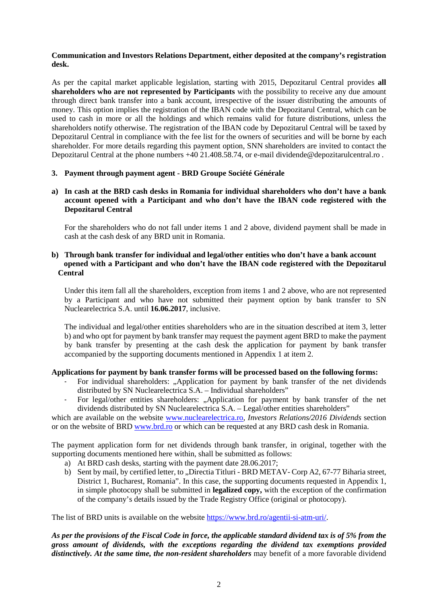# **Communication and Investors Relations Department, either deposited at the company's registration desk.**

As per the capital market applicable legislation, starting with 2015, Depozitarul Central provides **all shareholders who are not represented by Participants** with the possibility to receive any due amount through direct bank transfer into a bank account, irrespective of the issuer distributing the amounts of money. This option implies the registration of the IBAN code with the Depozitarul Central, which can be used to cash in more or all the holdings and which remains valid for future distributions, unless the shareholders notify otherwise. The registration of the IBAN code by Depozitarul Central will be taxed by Depozitarul Central in compliance with the fee list for the owners of securities and will be borne by each shareholder. For more details regarding this payment option, SNN shareholders are invited to contact the Depozitarul Central at the phone numbers +40 21.408.58.74, or e-mail dividende@depozitarulcentral.ro .

# **3. Payment through payment agent - BRD Groupe Société Générale**

# **a) In cash at the BRD cash desks in Romania for individual shareholders who don't have a bank account opened with a Participant and who don't have the IBAN code registered with the Depozitarul Central**

For the shareholders who do not fall under items 1 and 2 above, dividend payment shall be made in cash at the cash desk of any BRD unit in Romania.

# **b) Through bank transfer for individual and legal/other entities who don't have a bank account opened with a Participant and who don't have the IBAN code registered with the Depozitarul Central**

Under this item fall all the shareholders, exception from items 1 and 2 above, who are not represented by a Participant and who have not submitted their payment option by bank transfer to SN Nuclearelectrica S.A. until **16.06.2017**, inclusive.

The individual and legal/other entities shareholders who are in the situation described at item 3, letter b) and who opt for payment by bank transfer may request the payment agent BRD to make the payment by bank transfer by presenting at the cash desk the application for payment by bank transfer accompanied by the supporting documents mentioned in Appendix 1 at item 2.

# **Applications for payment by bank transfer forms will be processed based on the following forms:**

- For individual shareholders: "Application for payment by bank transfer of the net dividends distributed by SN Nuclearelectrica S.A. – Individual shareholders"
- For legal/other entities shareholders: "Application for payment by bank transfer of the net dividends distributed by SN Nuclearelectrica S.A. – Legal/other entities shareholders"

which are available on the website [www.nuclearelectrica.ro,](http://www.nuclearelectrica.ro/) *Investors Relations/2016 Dividends* section or on the website of BRD [www.brd.ro](http://www.brd.ro/) or which can be requested at any BRD cash desk in Romania.

The payment application form for net dividends through bank transfer, in original, together with the supporting documents mentioned here within, shall be submitted as follows:

- a) At BRD cash desks, starting with the payment date 28.06.2017;
- b) Sent by mail, by certified letter, to "Directia Titluri BRD METAV- Corp A2, 67-77 Biharia street, District 1, Bucharest, Romania". In this case, the supporting documents requested in Appendix 1, in simple photocopy shall be submitted in **legalized copy,** with the exception of the confirmation of the company's details issued by the Trade Registry Office (original or photocopy).

The list of BRD units is available on the website [https://www.brd.ro/agentii-si-atm-uri/.](https://www.brd.ro/instrumente-utile/agentii-si-atm-uri/)

*As per the provisions of the Fiscal Code in force, the applicable standard dividend tax is of 5% from the gross amount of dividends, with the exceptions regarding the dividend tax exemptions provided distinctively. At the same time, the non-resident shareholders* may benefit of a more favorable dividend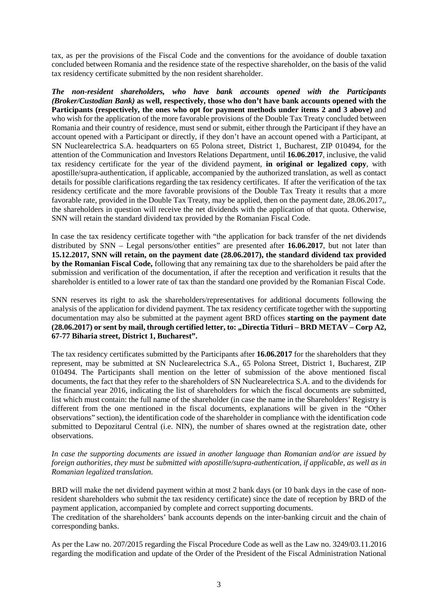tax, as per the provisions of the Fiscal Code and the conventions for the avoidance of double taxation concluded between Romania and the residence state of the respective shareholder, on the basis of the valid tax residency certificate submitted by the non resident shareholder.

*The non-resident shareholders, who have bank accounts opened with the Participants (Broker/Custodian Bank)* **as well, respectively, those who don't have bank accounts opened with the Participants (respectively, the ones who opt for payment methods under items 2 and 3 above)** and who wish for the application of the more favorable provisions of the Double Tax Treaty concluded between Romania and their country of residence, must send or submit, either through the Participant if they have an account opened with a Participant or directly, if they don't have an account opened with a Participant, at SN Nuclearelectrica S.A. headquarters on 65 Polona street, District 1, Bucharest, ZIP 010494, for the attention of the Communication and Investors Relations Department, until **16.06.2017**, inclusive, the valid tax residency certificate for the year of the dividend payment, **in original or legalized copy**, with apostille/supra-authentication, if applicable, accompanied by the authorized translation, as well as contact details for possible clarifications regarding the tax residency certificates. If after the verification of the tax residency certificate and the more favorable provisions of the Double Tax Treaty it results that a more favorable rate, provided in the Double Tax Treaty, may be applied, then on the payment date, 28.06.2017,, the shareholders in question will receive the net dividends with the application of that quota. Otherwise, SNN will retain the standard dividend tax provided by the Romanian Fiscal Code.

In case the tax residency certificate together with "the application for back transfer of the net dividends distributed by SNN – Legal persons/other entities" are presented after **16.06.2017**, but not later than **15.12.2017, SNN will retain, on the payment date (28.06.2017), the standard dividend tax provided by the Romanian Fiscal Code,** following that any remaining tax due to the shareholders be paid after the submission and verification of the documentation, if after the reception and verification it results that the shareholder is entitled to a lower rate of tax than the standard one provided by the Romanian Fiscal Code.

SNN reserves its right to ask the shareholders/representatives for additional documents following the analysis of the application for dividend payment. The tax residency certificate together with the supporting documentation may also be submitted at the payment agent BRD offices **starting on the payment date (28.06.2017) or sent by mail, through certified letter, to: "Directia Titluri – BRD METAV – Corp A2, 67-77 Biharia street, District 1, Bucharest".** 

The tax residency certificates submitted by the Participants after **16.06.2017** for the shareholders that they represent, may be submitted at SN Nuclearelectrica S.A., 65 Polona Street, District 1, Bucharest, ZIP 010494. The Participants shall mention on the letter of submission of the above mentioned fiscal documents, the fact that they refer to the shareholders of SN Nuclearelectrica S.A. and to the dividends for the financial year 2016, indicating the list of shareholders for which the fiscal documents are submitted, list which must contain: the full name of the shareholder (in case the name in the Shareholders' Registry is different from the one mentioned in the fiscal documents, explanations will be given in the "Other observations" section), the identification code of the shareholder in compliance with the identification code submitted to Depozitarul Central (i.e. NIN), the number of shares owned at the registration date, other observations.

*In case the supporting documents are issued in another language than Romanian and/or are issued by foreign authorities, they must be submitted with apostille/supra-authentication, if applicable, as well as in Romanian legalized translation.*

BRD will make the net dividend payment within at most 2 bank days (or 10 bank days in the case of nonresident shareholders who submit the tax residency certificate) since the date of reception by BRD of the payment application, accompanied by complete and correct supporting documents.

The creditation of the shareholders' bank accounts depends on the inter-banking circuit and the chain of corresponding banks.

As per the Law no. 207/2015 regarding the Fiscal Procedure Code as well as the Law no. 3249/03.11.2016 regarding the modification and update of the Order of the President of the Fiscal Administration National